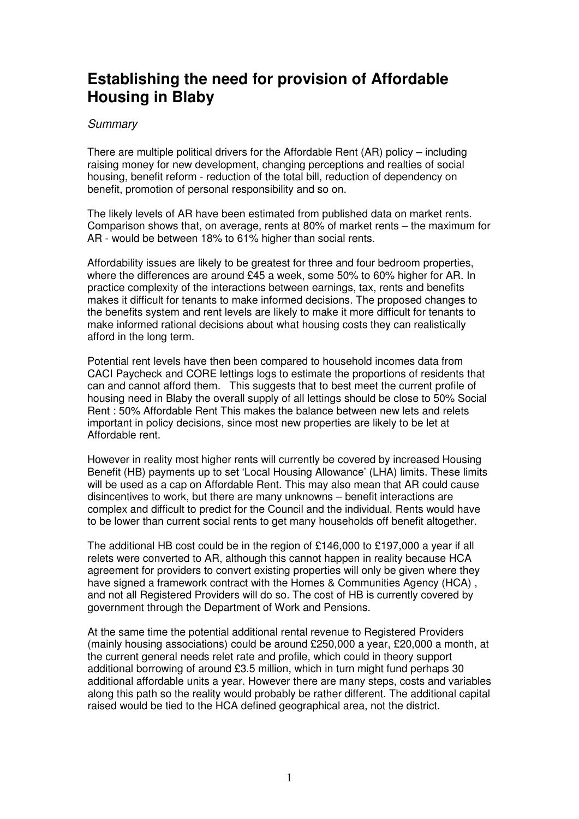## **Establishing the need for provision of Affordable Housing in Blaby**

## **Summary**

There are multiple political drivers for the Affordable Rent (AR) policy – including raising money for new development, changing perceptions and realties of social housing, benefit reform - reduction of the total bill, reduction of dependency on benefit, promotion of personal responsibility and so on.

The likely levels of AR have been estimated from published data on market rents. Comparison shows that, on average, rents at 80% of market rents – the maximum for AR - would be between 18% to 61% higher than social rents.

Affordability issues are likely to be greatest for three and four bedroom properties, where the differences are around £45 a week, some 50% to 60% higher for AR. In practice complexity of the interactions between earnings, tax, rents and benefits makes it difficult for tenants to make informed decisions. The proposed changes to the benefits system and rent levels are likely to make it more difficult for tenants to make informed rational decisions about what housing costs they can realistically afford in the long term.

Potential rent levels have then been compared to household incomes data from CACI Paycheck and CORE lettings logs to estimate the proportions of residents that can and cannot afford them. This suggests that to best meet the current profile of housing need in Blaby the overall supply of all lettings should be close to 50% Social Rent : 50% Affordable Rent This makes the balance between new lets and relets important in policy decisions, since most new properties are likely to be let at Affordable rent.

However in reality most higher rents will currently be covered by increased Housing Benefit (HB) payments up to set 'Local Housing Allowance' (LHA) limits. These limits will be used as a cap on Affordable Rent. This may also mean that AR could cause disincentives to work, but there are many unknowns – benefit interactions are complex and difficult to predict for the Council and the individual. Rents would have to be lower than current social rents to get many households off benefit altogether.

The additional HB cost could be in the region of £146,000 to £197,000 a year if all relets were converted to AR, although this cannot happen in reality because HCA agreement for providers to convert existing properties will only be given where they have signed a framework contract with the Homes & Communities Agency (HCA), and not all Registered Providers will do so. The cost of HB is currently covered by government through the Department of Work and Pensions.

At the same time the potential additional rental revenue to Registered Providers (mainly housing associations) could be around £250,000 a year, £20,000 a month, at the current general needs relet rate and profile, which could in theory support additional borrowing of around £3.5 million, which in turn might fund perhaps 30 additional affordable units a year. However there are many steps, costs and variables along this path so the reality would probably be rather different. The additional capital raised would be tied to the HCA defined geographical area, not the district.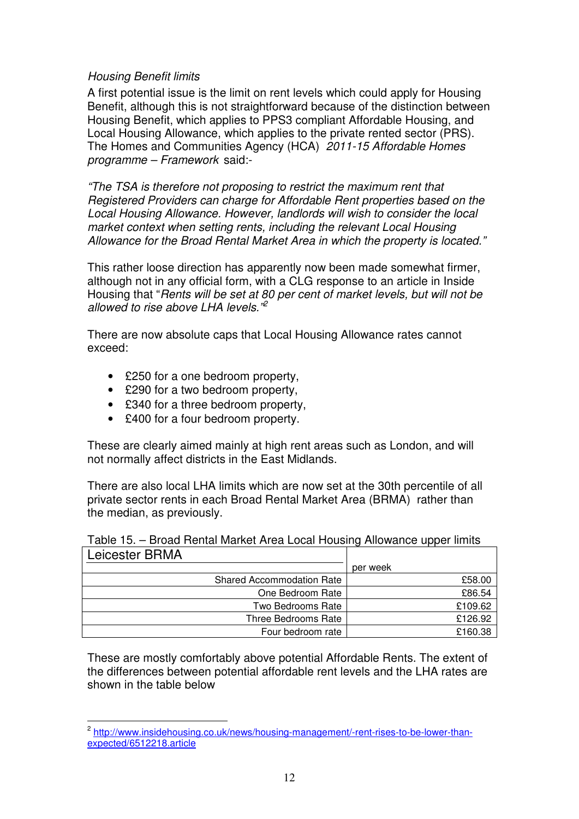## Housing Benefit limits

 A first potential issue is the limit on rent levels which could apply for Housing Benefit, although this is not straightforward because of the distinction between Housing Benefit, which applies to PPS3 compliant Affordable Housing, and Local Housing Allowance, which applies to the private rented sector (PRS). The Homes and Communities Agency (HCA) 2011-15 Affordable Homes programme – Framework said:-

 "The TSA is therefore not proposing to restrict the maximum rent that Registered Providers can charge for Affordable Rent properties based on the Local Housing Allowance. However, landlords will wish to consider the local market context when setting rents, including the relevant Local Housing Allowance for the Broad Rental Market Area in which the property is located."

 This rather loose direction has apparently now been made somewhat firmer, although not in any official form, with a CLG response to an article in Inside Housing that "Rents will be set at 80 per cent of market levels, but will not be allowed to rise above LHA levels."<sup>2</sup>

 There are now absolute caps that Local Housing Allowance rates cannot exceed:

- £250 for a one bedroom property,
- £290 for a two bedroom property.
- £340 for a three bedroom property,
- £400 for a four bedroom property.

 $\overline{a}$ 

 These are clearly aimed mainly at high rent areas such as London, and will not normally affect districts in the East Midlands.

 There are also local LHA limits which are now set at the 30th percentile of all private sector rents in each Broad Rental Market Area (BRMA) rather than the median, as previously.

| Leicester BRMA                   |          |
|----------------------------------|----------|
|                                  | per week |
| <b>Shared Accommodation Rate</b> | £58.00   |
| One Bedroom Rate                 | £86.54   |
| Two Bedrooms Rate                | £109.62  |
| Three Bedrooms Rate              | £126.92  |
| Four bedroom rate                | £160.38  |

Table 15. – Broad Rental Market Area Local Housing Allowance upper limits

 These are mostly comfortably above potential Affordable Rents. The extent of the differences between potential affordable rent levels and the LHA rates are shown in the table below

 expected/6512218.article 2 [http://www.insidehousing.co.uk/news/housing-management/-rent-rises-to-be-lower-than-](http://www.insidehousing.co.uk/news/housing-management/-rent-rises-to-be-lower-than)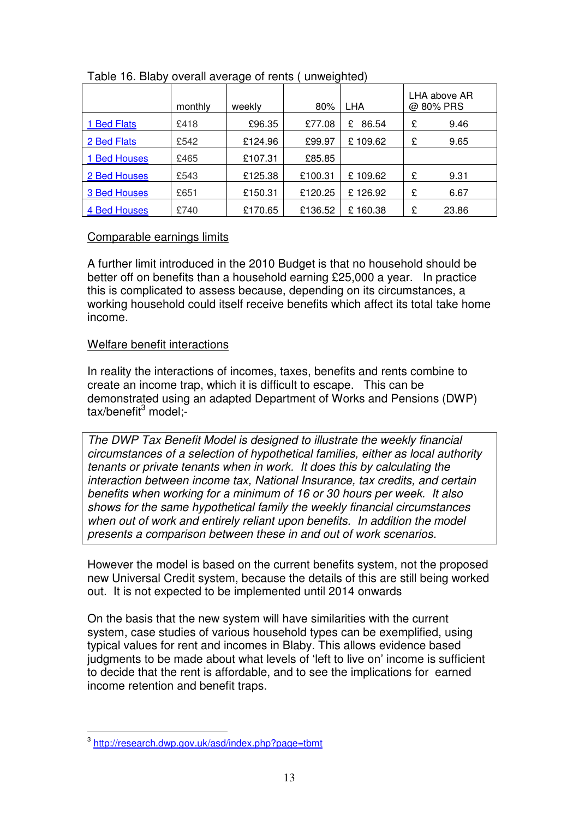|                  | monthly | weekly  | 80%     | <b>LHA</b> |   | LHA above AR<br>@80% PRS |
|------------------|---------|---------|---------|------------|---|--------------------------|
| <b>Bed Flats</b> | £418    | £96.35  | £77.08  | 86.54<br>£ | £ | 9.46                     |
| 2 Bed Flats      | £542    | £124.96 | £99.97  | £109.62    | £ | 9.65                     |
| 1 Bed Houses     | £465    | £107.31 | £85.85  |            |   |                          |
| 2 Bed Houses     | £543    | £125.38 | £100.31 | £109.62    | £ | 9.31                     |
| 3 Bed Houses     | £651    | £150.31 | £120.25 | £126.92    | £ | 6.67                     |
| 4 Bed Houses     | £740    | £170.65 | £136.52 | £160.38    | £ | 23.86                    |

## Table 16. Blaby overall average of rents ( unweighted)

## Comparable earnings limits

 A further limit introduced in the 2010 Budget is that no household should be better off on benefits than a household earning £25,000 a year. In practice this is complicated to assess because, depending on its circumstances, a working household could itself receive benefits which affect its total take home income

# income.<br><u>Welfare benefit interactions</u>

 In reality the interactions of incomes, taxes, benefits and rents combine to create an income trap, which it is difficult to escape. This can be demonstrated using an adapted Department of Works and Pensions (DWP) tax/benefit<sup>3</sup> model;-

 The DWP Tax Benefit Model is designed to illustrate the weekly financial circumstances of a selection of hypothetical families, either as local authority tenants or private tenants when in work. It does this by calculating the interaction between income tax, National Insurance, tax credits, and certain benefits when working for a minimum of 16 or 30 hours per week. It also shows for the same hypothetical family the weekly financial circumstances when out of work and entirely reliant upon benefits. In addition the model presents a comparison between these in and out of work scenarios.

 However the model is based on the current benefits system, not the proposed new Universal Credit system, because the details of this are still being worked out. It is not expected to be implemented until 2014 onwards

 On the basis that the new system will have similarities with the current system, case studies of various household types can be exemplified, using typical values for rent and incomes in Blaby. This allows evidence based judgments to be made about what levels of 'left to live on' income is sufficient to decide that the rent is affordable, and to see the implications for earned income retention and benefit traps.

<sup>&</sup>lt;sup>3</sup> http://research.dwp.gov.uk/asd/index.php?page=tbmt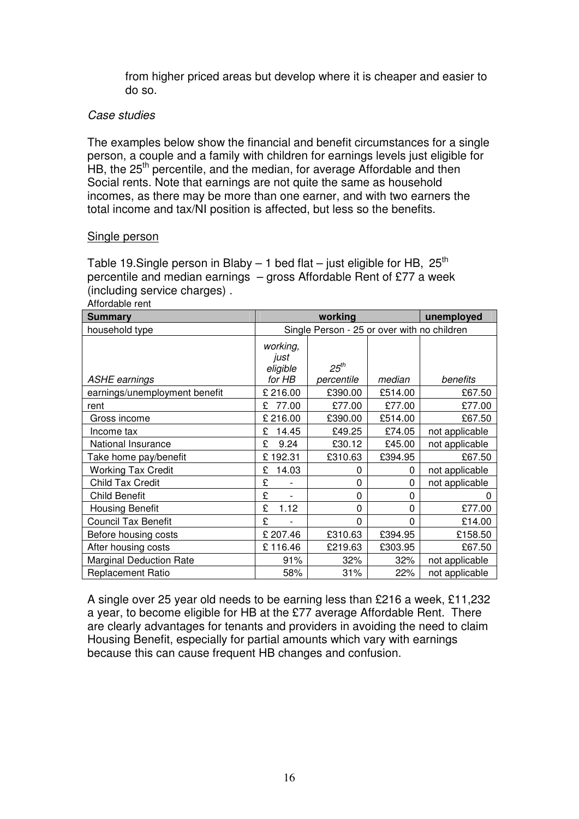from higher priced areas but develop where it is cheaper and easier to do so.

## Case studies

 The examples below show the financial and benefit circumstances for a single person, a couple and a family with children for earnings levels just eligible for HB, the 25<sup>th</sup> percentile, and the median, for average Affordable and then Social rents. Note that earnings are not quite the same as household incomes, as there may be more than one earner, and with two earners the total income and tax/NI position is affected, but less so the benefits.

## Single person

Table 19.Single person in Blaby – 1 bed flat – just eligible for HB,  $25<sup>th</sup>$  percentile and median earnings – gross Affordable Rent of £77 a week (including service charges) .

| Affordable rent                |                                             |                         |          |                |  |
|--------------------------------|---------------------------------------------|-------------------------|----------|----------------|--|
| <b>Summary</b>                 | working<br>unemployed                       |                         |          |                |  |
| household type                 | Single Person - 25 or over with no children |                         |          |                |  |
| <b>ASHE earnings</b>           | working,<br>just<br>eligible<br>for HB      | $25^{th}$<br>percentile | median   | benefits       |  |
| earnings/unemployment benefit  | £ 216.00                                    | £390.00                 | £514.00  | £67.50         |  |
| rent                           | 77.00<br>£                                  | £77.00                  | £77.00   | £77.00         |  |
| Gross income                   | £216.00                                     | £390.00                 | £514.00  | £67.50         |  |
| Income tax                     | 14.45<br>£                                  | £49.25                  | £74.05   | not applicable |  |
| National Insurance             | £<br>9.24                                   | £30.12                  | £45.00   | not applicable |  |
| Take home pay/benefit          | £192.31                                     | £310.63                 | £394.95  | £67.50         |  |
| <b>Working Tax Credit</b>      | 14.03<br>£                                  | 0                       | 0        | not applicable |  |
| <b>Child Tax Credit</b>        | £                                           | $\Omega$                | 0        | not applicable |  |
| <b>Child Benefit</b>           | £<br>$\overline{a}$                         | $\Omega$                | $\Omega$ | O              |  |
| <b>Housing Benefit</b>         | £<br>1.12                                   | $\Omega$                | 0        | £77.00         |  |
| <b>Council Tax Benefit</b>     | £                                           | $\Omega$                | 0        | £14.00         |  |
| Before housing costs           | £ 207.46                                    | £310.63                 | £394.95  | £158.50        |  |
| After housing costs            | £116.46                                     | £219.63                 | £303.95  | £67.50         |  |
| <b>Marginal Deduction Rate</b> | 91%                                         | 32%                     | 32%      | not applicable |  |
| <b>Replacement Ratio</b>       | 58%                                         | 31%                     | 22%      | not applicable |  |

 A single over 25 year old needs to be earning less than £216 a week, £11,232 a year, to become eligible for HB at the £77 average Affordable Rent. There are clearly advantages for tenants and providers in avoiding the need to claim Housing Benefit, especially for partial amounts which vary with earnings because this can cause frequent HB changes and confusion.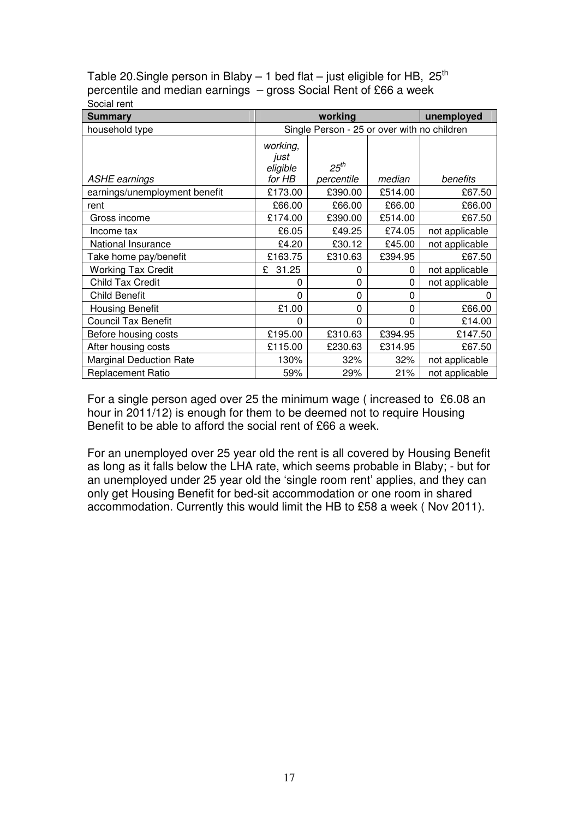Table 20.Single person in Blaby – 1 bed flat – just eligible for HB,  $25<sup>th</sup>$  percentile and median earnings – gross Social Rent of £66 a week Social rent

| <b>Summary</b>                 |                                             | unemployed              |              |                |  |
|--------------------------------|---------------------------------------------|-------------------------|--------------|----------------|--|
| household type                 | Single Person - 25 or over with no children |                         |              |                |  |
| <b>ASHE</b> earnings           | working,<br>just<br>eligible<br>for HB      | $25^{th}$<br>percentile | median       | benefits       |  |
| earnings/unemployment benefit  | £173.00                                     | £390.00                 | £514.00      | £67.50         |  |
| rent                           | £66.00                                      | £66.00                  | £66.00       | £66.00         |  |
| Gross income                   | £174.00                                     | £390.00                 | £514.00      | £67.50         |  |
| Income tax                     | £6.05                                       | £49.25                  | £74.05       | not applicable |  |
| National Insurance             | £4.20                                       | £30.12                  | £45.00       | not applicable |  |
| Take home pay/benefit          | £163.75                                     | £310.63                 | £394.95      | £67.50         |  |
| <b>Working Tax Credit</b>      | £<br>31.25                                  | 0                       | 0            | not applicable |  |
| <b>Child Tax Credit</b>        | 0                                           | 0                       | $\mathbf{0}$ | not applicable |  |
| <b>Child Benefit</b>           | 0                                           | 0                       | 0            |                |  |
| <b>Housing Benefit</b>         | £1.00                                       | 0                       | 0            | £66.00         |  |
| <b>Council Tax Benefit</b>     | 0                                           | 0                       | $\Omega$     | £14.00         |  |
| Before housing costs           | £195.00                                     | £310.63                 | £394.95      | £147.50        |  |
| After housing costs            | £115.00                                     | £230.63                 | £314.95      | £67.50         |  |
| <b>Marginal Deduction Rate</b> | 130%                                        | 32%                     | 32%          | not applicable |  |
| <b>Replacement Ratio</b>       | 59%                                         | 29%                     | 21%          | not applicable |  |

 For a single person aged over 25 the minimum wage ( increased to £6.08 an hour in 2011/12) is enough for them to be deemed not to require Housing Benefit to be able to afford the social rent of £66 a week.

 For an unemployed over 25 year old the rent is all covered by Housing Benefit as long as it falls below the LHA rate, which seems probable in Blaby; - but for an unemployed under 25 year old the 'single room rent' applies, and they can only get Housing Benefit for bed-sit accommodation or one room in shared accommodation. Currently this would limit the HB to £58 a week ( Nov 2011).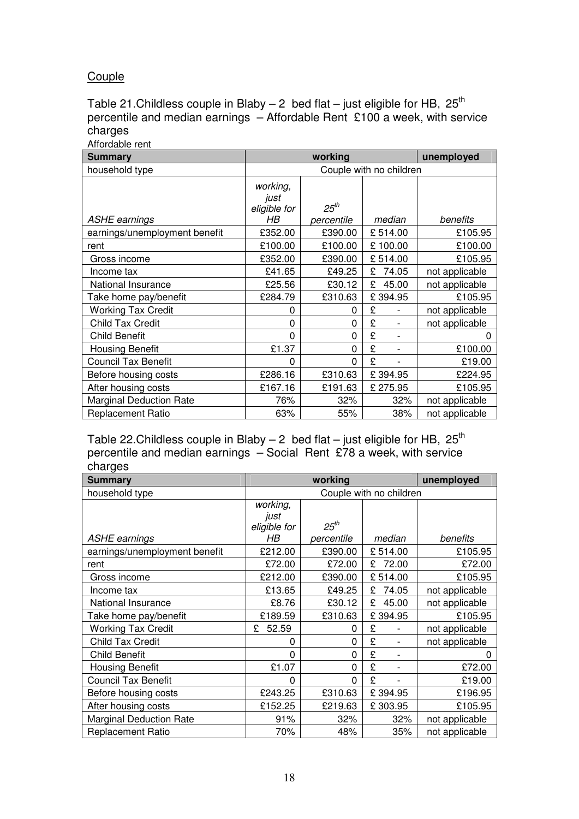## Couple

Table 21.Childless couple in Blaby – 2 bed flat – just eligible for HB,  $25<sup>th</sup>$  percentile and median earnings – Affordable Rent £100 a week, with service charges

 Affordable rent **working** household type ASHE earnings eligible for earnings/unemployment benefit  $\qquad$   $\qquad$  £352.00  $\qquad$  £390.00  $\qquad$  £105.95 £100.00 Gross income  $\left\{\n \begin{array}{c}\n \text{£352.00} \\
\text{£390.00} \\
\text{£514.00}\n \end{array}\n\right.\n\left.\n\right.\n\left.\n\left.\n\begin{array}{c}\n \text{£105.95}\n \end{array}\n\right.$ Income tax National Insurance  $\vert$  £25.56  $\vert$  £30.12  $\vert$  £ 45.00  $\vert$  not applicable Take home pay/benefit | £284.79 | £310.63 | £ 394.95 | £105.95 Working Tax Credit  $\begin{vmatrix} 0 & 0 \end{vmatrix}$  0  $\begin{vmatrix} 2 & -1 \end{vmatrix}$  not applicable Child Tax Credit 0 0 £ - not applicable Child Benefit **Child Benefit** 0 0 0 2 - 0 Housing Benefit £1.37 0 £ - £100.00 Council Tax Benefit  $\begin{vmatrix} 0 & 0 \end{vmatrix}$   $\begin{vmatrix} 0 & 0 \end{vmatrix}$   $\begin{vmatrix} 2 & -1 \end{vmatrix}$   $\begin{vmatrix} 2 & 19.00 \end{vmatrix}$ Before housing costs | £286.16 | £310.63 | £ 394.95 | £224.95 After housing costs | £167.16 | £191.63 | £ 275.95 | £105.95 Marginal Deduction Rate  $\vert$  76% | 32% | 32% | not applicable Replacement Ratio 63% 55% 38% not applicable **Summary and Summary Summary and Summary and Summary Summary and Summary Algorithment Community Community Community** Couple with no children working, just HB  $25^{th}$ percentile median benefits rent £100.00 £100.00 £ 100.00 £100.00  $\text{\pounds}41.65$   $\text{\pounds}49.25$   $\text{\pounds}74.05$  not applicable

Table 22.Childless couple in Blaby  $-$  2 bed flat  $-$  just eligible for HB, 25<sup>th</sup> percentile and median earnings – Social Rent £78 a week, with service charges

| <b>Summary</b>                 |                                  | unemployed |            |                |  |
|--------------------------------|----------------------------------|------------|------------|----------------|--|
| household type                 | Couple with no children          |            |            |                |  |
|                                | working,<br>just<br>eligible for | $25^{th}$  |            |                |  |
| <b>ASHE</b> earnings           | HB                               | percentile | median     | benefits       |  |
| earnings/unemployment benefit  | £212.00                          | £390.00    | £514.00    | £105.95        |  |
| rent                           | £72.00                           | £72.00     | 72.00<br>£ | £72.00         |  |
| Gross income                   | £212.00                          | £390.00    | £514.00    | £105.95        |  |
| Income tax                     | £13.65                           | £49.25     | 74.05<br>£ | not applicable |  |
| National Insurance             | £8.76                            | £30.12     | £<br>45.00 | not applicable |  |
| Take home pay/benefit          | £189.59                          | £310.63    | £394.95    | £105.95        |  |
| <b>Working Tax Credit</b>      | 52.59<br>£                       | 0          | £          | not applicable |  |
| Child Tax Credit               | 0                                | 0          | £          | not applicable |  |
| <b>Child Benefit</b>           | $\Omega$                         | 0          | £          |                |  |
| <b>Housing Benefit</b>         | £1.07                            | 0          | £          | £72.00         |  |
| <b>Council Tax Benefit</b>     | $\Omega$                         | 0          | £          | £19.00         |  |
| Before housing costs           | £243.25                          | £310.63    | £394.95    | £196.95        |  |
| After housing costs            | £152.25                          | £219.63    | £303.95    | £105.95        |  |
| <b>Marginal Deduction Rate</b> | 91%                              | 32%        | 32%        | not applicable |  |
| <b>Replacement Ratio</b>       | 70%                              | 48%        | 35%        | not applicable |  |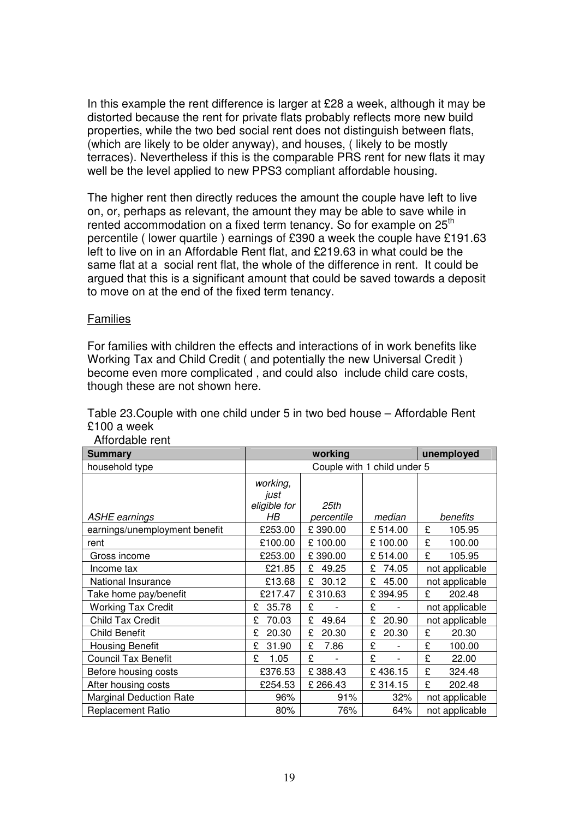In this example the rent difference is larger at £28 a week, although it may be distorted because the rent for private flats probably reflects more new build properties, while the two bed social rent does not distinguish between flats, (which are likely to be older anyway), and houses, ( likely to be mostly terraces). Nevertheless if this is the comparable PRS rent for new flats it may well be the level applied to new PPS3 compliant affordable housing.

 The higher rent then directly reduces the amount the couple have left to live on, or, perhaps as relevant, the amount they may be able to save while in rented accommodation on a fixed term tenancy. So for example on  $25<sup>th</sup>$  percentile ( lower quartile ) earnings of £390 a week the couple have £191.63 left to live on in an Affordable Rent flat, and £219.63 in what could be the same flat at a social rent flat, the whole of the difference in rent. It could be argued that this is a significant amount that could be saved towards a deposit to move on at the end of the fixed term tenancy.

## **Families**

 For families with children the effects and interactions of in work benefits like Working Tax and Child Credit ( and potentially the new Universal Credit ) become even more complicated , and could also include child care costs, though these are not shown here.

 Table 23.Couple with one child under 5 in two bed house – Affordable Rent £100 a week

| <b>Summary</b>                 |                                        | unemployed         |            |                |  |
|--------------------------------|----------------------------------------|--------------------|------------|----------------|--|
| household type                 | Couple with 1 child under 5            |                    |            |                |  |
| <b>ASHE earnings</b>           | working,<br>just<br>eligible for<br>HB | 25th<br>percentile | median     | benefits       |  |
| earnings/unemployment benefit  | £253.00                                | £390.00            | £514.00    | £<br>105.95    |  |
| rent                           | £100.00                                | £100.00            | £100.00    | £<br>100.00    |  |
| Gross income                   | £253.00                                | £390.00            | £514.00    | £<br>105.95    |  |
| Income tax                     | £21.85                                 | 49.25<br>£         | 74.05<br>£ | not applicable |  |
| National Insurance             | £13.68                                 | 30.12<br>£         | £<br>45.00 | not applicable |  |
| Take home pay/benefit          | £217.47                                | £310.63            | £394.95    | £<br>202.48    |  |
| <b>Working Tax Credit</b>      | 35.78<br>£                             | £                  | £          | not applicable |  |
| <b>Child Tax Credit</b>        | £<br>70.03                             | £<br>49.64         | £<br>20.90 | not applicable |  |
| <b>Child Benefit</b>           | £<br>20.30                             | £<br>20.30         | £<br>20.30 | £<br>20.30     |  |
| <b>Housing Benefit</b>         | £<br>31.90                             | £<br>7.86          | £          | £<br>100.00    |  |
| <b>Council Tax Benefit</b>     | £<br>1.05                              | £                  | £          | £<br>22.00     |  |
| Before housing costs           | £376.53                                | £388.43            | £436.15    | £<br>324.48    |  |
| After housing costs            | £254.53                                | £266.43            | £314.15    | £<br>202.48    |  |
| <b>Marginal Deduction Rate</b> | 96%                                    | 91%                | 32%        | not applicable |  |
| Replacement Ratio              | 80%                                    | 76%                | 64%        | not applicable |  |

#### Affordable rent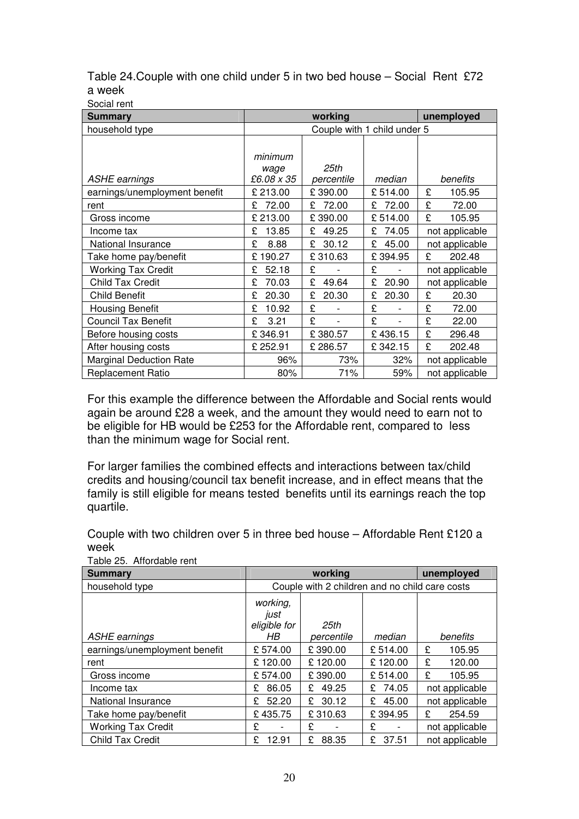| Table 24. Couple with one child under 5 in two bed house – Social Rent £72 |  |
|----------------------------------------------------------------------------|--|
| a week                                                                     |  |

Social rent

| <b>Summary</b>                 |                               | unemployed                  |            |                |
|--------------------------------|-------------------------------|-----------------------------|------------|----------------|
| household type                 |                               | Couple with 1 child under 5 |            |                |
| <b>ASHE</b> earnings           | minimum<br>wage<br>£6.08 x 35 | 25th<br>percentile          | median     | benefits       |
| earnings/unemployment benefit  | £ 213.00                      | £390.00                     | £514.00    | £<br>105.95    |
| rent                           | 72.00<br>£                    | 72.00<br>£                  | 72.00<br>£ | £<br>72.00     |
| Gross income                   | £ 213.00                      | £390.00                     | £514.00    | £<br>105.95    |
| Income tax                     | 13.85<br>£                    | 49.25<br>£                  | 74.05<br>£ | not applicable |
| National Insurance             | £<br>8.88                     | 30.12<br>£                  | 45.00<br>£ | not applicable |
| Take home pay/benefit          | £190.27                       | £310.63                     | £394.95    | £<br>202.48    |
| <b>Working Tax Credit</b>      | £<br>52.18                    | £                           | £          | not applicable |
| <b>Child Tax Credit</b>        | £<br>70.03                    | £<br>49.64                  | £<br>20.90 | not applicable |
| <b>Child Benefit</b>           | 20.30<br>£                    | £<br>20.30                  | £<br>20.30 | £<br>20.30     |
| <b>Housing Benefit</b>         | £<br>10.92                    | £                           | £          | £<br>72.00     |
| <b>Council Tax Benefit</b>     | £<br>3.21                     | £                           | £          | £<br>22.00     |
| Before housing costs           | £346.91                       | £380.57                     | £436.15    | £<br>296.48    |
| After housing costs            | £252.91                       | £286.57                     | £342.15    | £<br>202.48    |
| <b>Marginal Deduction Rate</b> | 96%                           | 73%                         | 32%        | not applicable |
| <b>Replacement Ratio</b>       | 80%                           | 71%                         | 59%        | not applicable |

 For this example the difference between the Affordable and Social rents would again be around £28 a week, and the amount they would need to earn not to be eligible for HB would be £253 for the Affordable rent, compared to less than the minimum wage for Social rent.

 For larger families the combined effects and interactions between tax/child credits and housing/council tax benefit increase, and in effect means that the family is still eligible for means tested benefits until its earnings reach the top quartile.

quartile.<br>Couple with two children over 5 in three bed house – Affordable Rent £120 a week

| <b>Summary</b>                |                                  | unemployed                                     |             |                |  |
|-------------------------------|----------------------------------|------------------------------------------------|-------------|----------------|--|
| household type                |                                  | Couple with 2 children and no child care costs |             |                |  |
|                               | working,<br>just<br>eligible for | 25th                                           |             |                |  |
| <b>ASHE</b> earnings          | HB.                              | percentile                                     | median      | benefits       |  |
| earnings/unemployment benefit | £574.00                          | £390.00                                        | £514.00     | 105.95<br>£    |  |
| rent                          | £120.00                          | £120.00                                        | £120.00     | £<br>120.00    |  |
| Gross income                  | £574.00                          | £390.00                                        | £514.00     | £<br>105.95    |  |
| Income tax                    | 86.05<br>£                       | 49.25<br>£                                     | 74.05<br>£. | not applicable |  |
| National Insurance            | 52.20<br>£.                      | 30.12<br>£.                                    | 45.00<br>£  | not applicable |  |
| Take home pay/benefit         | £435.75                          | £310.63                                        | £394.95     | £<br>254.59    |  |
| <b>Working Tax Credit</b>     | £                                | £                                              | £           | not applicable |  |
| <b>Child Tax Credit</b>       | £<br>12.91                       | £<br>88.35                                     | £<br>37.51  | not applicable |  |

Table 25. Affordable rent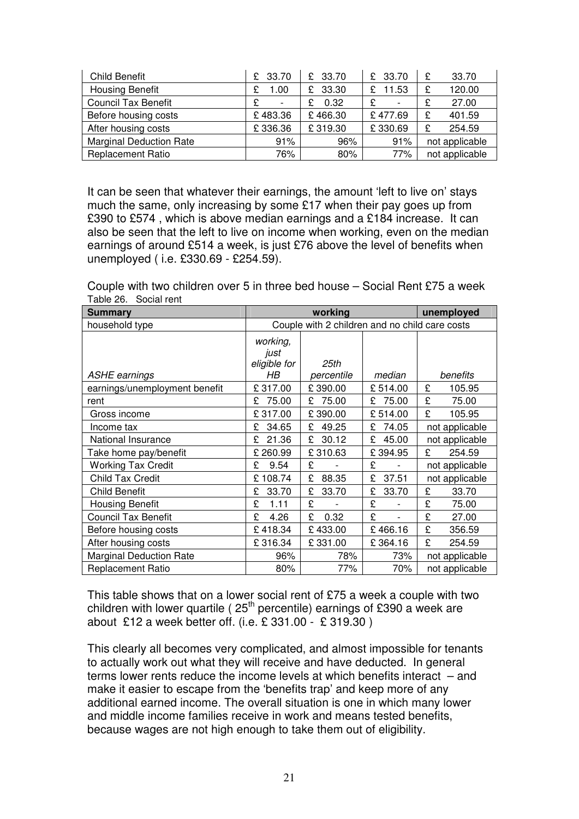| Child Benefit                  | £ 33.70   | £ 33.70     | £ 33.70 | 33.70<br>£     |
|--------------------------------|-----------|-------------|---------|----------------|
| <b>Housing Benefit</b>         | 1.00<br>£ | 33.30<br>£. | 11.53   | 120.00<br>£    |
| <b>Council Tax Benefit</b>     | £         | 0.32        | £       | 27.00<br>£     |
| Before housing costs           | £483.36   | £466.30     | £477.69 | 401.59<br>£    |
| After housing costs            | £336.36   | £319.30     | £330.69 | 254.59<br>£    |
| <b>Marginal Deduction Rate</b> | 91%       | 96%         | 91%     | not applicable |
| <b>Replacement Ratio</b>       | 76%       | $80\%$      | 77%     | not applicable |

 It can be seen that whatever their earnings, the amount 'left to live on' stays much the same, only increasing by some £17 when their pay goes up from £390 to £574 , which is above median earnings and a £184 increase. It can also be seen that the left to live on income when working, even on the median earnings of around £514 a week, is just £76 above the level of benefits when unemployed ( i.e. £330.69 - £254.59).

 Couple with two children over 5 in three bed house – Social Rent £75 a week Table 26. Social rent

| Summary                        |                                                | working            |            | unemployed     |  |
|--------------------------------|------------------------------------------------|--------------------|------------|----------------|--|
| household type                 | Couple with 2 children and no child care costs |                    |            |                |  |
| <b>ASHE</b> earnings           | working,<br>just<br>eligible for<br>HB.        | 25th<br>percentile | median     | benefits       |  |
| earnings/unemployment benefit  | £317.00                                        | £390.00            | £514.00    | £<br>105.95    |  |
| rent                           | £<br>75.00                                     | 75.00<br>£         | 75.00<br>£ | £<br>75.00     |  |
| Gross income                   | £317.00                                        | £390.00            | £514.00    | £<br>105.95    |  |
| Income tax                     | 34.65<br>£                                     | 49.25<br>£         | 74.05<br>£ | not applicable |  |
| National Insurance             | 21.36<br>£                                     | £<br>30.12         | 45.00<br>£ | not applicable |  |
| Take home pay/benefit          | £260.99                                        | £310.63            | £394.95    | £<br>254.59    |  |
| <b>Working Tax Credit</b>      | £<br>9.54                                      | £                  | £<br>-     | not applicable |  |
| <b>Child Tax Credit</b>        | £108.74                                        | £<br>88.35         | £<br>37.51 | not applicable |  |
| <b>Child Benefit</b>           | £<br>33.70                                     | £<br>33.70         | £<br>33.70 | £<br>33.70     |  |
| <b>Housing Benefit</b>         | £<br>1.11                                      | £                  | £          | £<br>75.00     |  |
| <b>Council Tax Benefit</b>     | £<br>4.26                                      | £<br>0.32          | £          | £<br>27.00     |  |
| Before housing costs           | £418.34                                        | £433.00            | £466.16    | £<br>356.59    |  |
| After housing costs            | £316.34                                        | £331.00            | £364.16    | £<br>254.59    |  |
| <b>Marginal Deduction Rate</b> | 96%                                            | 78%                | 73%        | not applicable |  |
| <b>Replacement Ratio</b>       | 80%                                            | 77%                | 70%        | not applicable |  |

 This table shows that on a lower social rent of £75 a week a couple with two children with lower quartile ( $25<sup>th</sup>$  percentile) earnings of £390 a week are about £12 a week better off. (i.e. £ 331.00 - £ 319.30 )

 This clearly all becomes very complicated, and almost impossible for tenants to actually work out what they will receive and have deducted. In general terms lower rents reduce the income levels at which benefits interact – and make it easier to escape from the 'benefits trap' and keep more of any additional earned income. The overall situation is one in which many lower and middle income families receive in work and means tested benefits, because wages are not high enough to take them out of eligibility.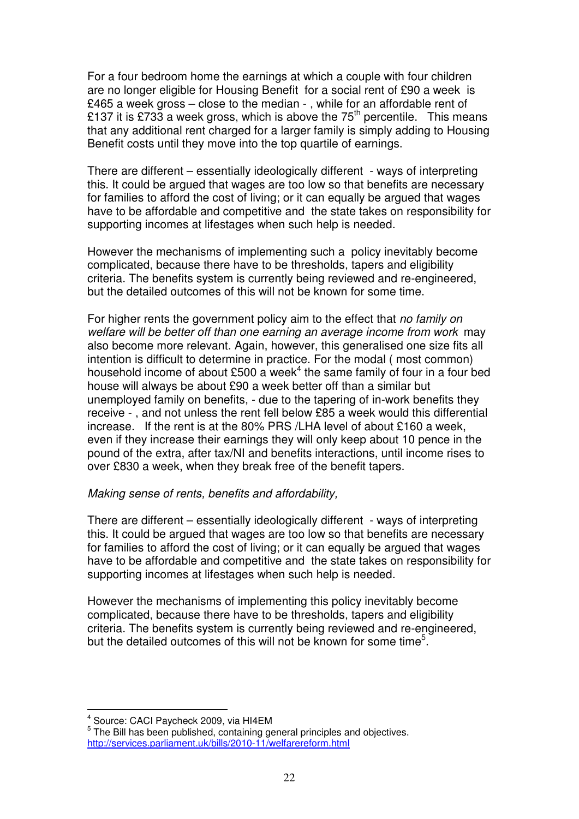For a four bedroom home the earnings at which a couple with four children are no longer eligible for Housing Benefit for a social rent of £90 a week is £465 a week gross – close to the median - , while for an affordable rent of £137 it is £733 a week gross, which is above the 75<sup>th</sup> percentile. This means that any additional rent charged for a larger family is simply adding to Housing Benefit costs until they move into the top quartile of earnings.

 There are different – essentially ideologically different - ways of interpreting this. It could be argued that wages are too low so that benefits are necessary for families to afford the cost of living; or it can equally be argued that wages have to be affordable and competitive and the state takes on responsibility for supporting incomes at lifestages when such help is needed.

 However the mechanisms of implementing such a policy inevitably become complicated, because there have to be thresholds, tapers and eligibility criteria. The benefits system is currently being reviewed and re-engineered, but the detailed outcomes of this will not be known for some time.

For higher rents the government policy aim to the effect that no family on welfare will be better off than one earning an average income from work may also become more relevant. Again, however, this generalised one size fits all intention is difficult to determine in practice. For the modal ( most common) household income of about £500 a week<sup>4</sup> the same family of four in a four bed house will always be about £90 a week better off than a similar but unemployed family on benefits, - due to the tapering of in-work benefits they receive - , and not unless the rent fell below £85 a week would this differential increase. If the rent is at the 80% PRS /LHA level of about £160 a week, even if they increase their earnings they will only keep about 10 pence in the pound of the extra, after tax/NI and benefits interactions, until income rises to over £830 a week, when they break free of the benefit tapers.

## Making sense of rents, benefits and affordability,

 There are different – essentially ideologically different - ways of interpreting this. It could be argued that wages are too low so that benefits are necessary for families to afford the cost of living; or it can equally be argued that wages have to be affordable and competitive and the state takes on responsibility for supporting incomes at lifestages when such help is needed.

 However the mechanisms of implementing this policy inevitably become complicated, because there have to be thresholds, tapers and eligibility criteria. The benefits system is currently being reviewed and re-engineered, but the detailed outcomes of this will not be known for some time<sup>5</sup>.

 $<sup>4</sup>$  Source: CACI Paycheck 2009, via HI4EM</sup>

l.

 $<sup>5</sup>$  The Bill has been published, containing general principles and objectives.</sup> <http://services.parliament.uk/bills/2010-11/welfarereform.html>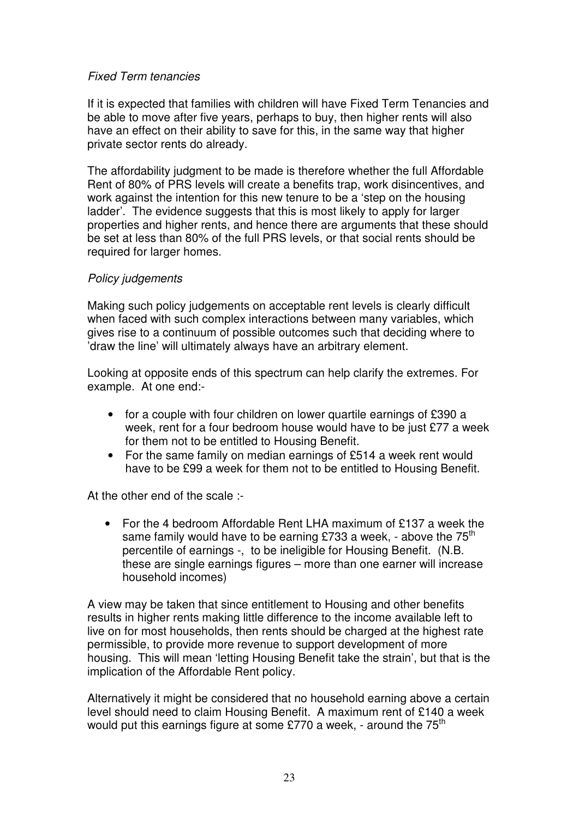## Fixed Term tenancies

 If it is expected that families with children will have Fixed Term Tenancies and be able to move after five years, perhaps to buy, then higher rents will also have an effect on their ability to save for this, in the same way that higher private sector rents do already.

 The affordability judgment to be made is therefore whether the full Affordable Rent of 80% of PRS levels will create a benefits trap, work disincentives, and work against the intention for this new tenure to be a 'step on the housing ladder'. The evidence suggests that this is most likely to apply for larger properties and higher rents, and hence there are arguments that these should be set at less than 80% of the full PRS levels, or that social rents should be required for larger homes.

## Policy judgements

 Making such policy judgements on acceptable rent levels is clearly difficult when faced with such complex interactions between many variables, which gives rise to a continuum of possible outcomes such that deciding where to 'draw the line' will ultimately always have an arbitrary element.

 Looking at opposite ends of this spectrum can help clarify the extremes. For example. At one end:-

- • for a couple with four children on lower quartile earnings of £390 a week, rent for a four bedroom house would have to be just £77 a week for them not to be entitled to Housing Benefit.
- • For the same family on median earnings of £514 a week rent would have to be £99 a week for them not to be entitled to Housing Benefit.

At the other end of the scale :-

 $\bullet$ same family would have to be earning £733 a week, - above the 75<sup>th</sup> percentile of earnings -, to be ineligible for Housing Benefit. (N.B. these are single earnings figures – more than one earner will increase household incomes) • For the 4 bedroom Affordable Rent LHA maximum of £137 a week the

 A view may be taken that since entitlement to Housing and other benefits results in higher rents making little difference to the income available left to live on for most households, then rents should be charged at the highest rate permissible, to provide more revenue to support development of more housing. This will mean 'letting Housing Benefit take the strain', but that is the implication of the Affordable Rent policy.

 Alternatively it might be considered that no household earning above a certain level should need to claim Housing Benefit. A maximum rent of £140 a week would put this earnings figure at some £770 a week, - around the 75<sup>th</sup>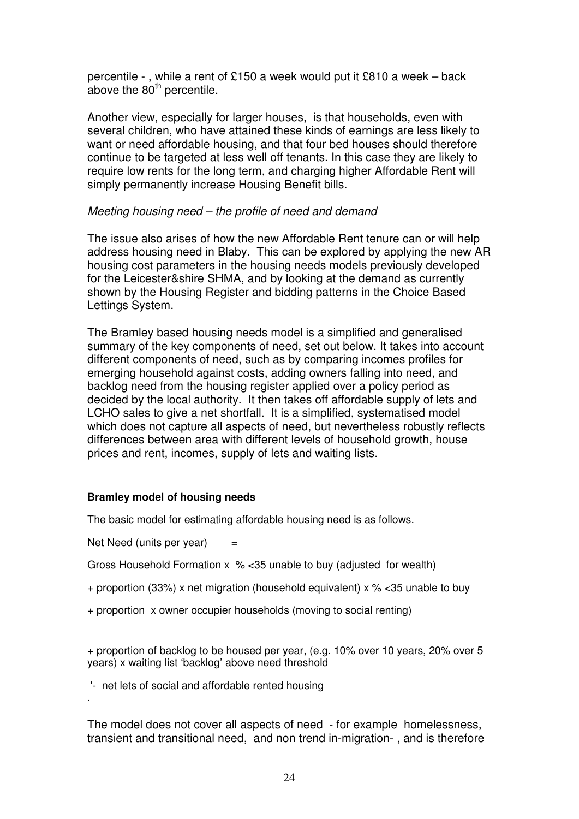percentile - , while a rent of £150 a week would put it £810 a week – back above the  $80<sup>th</sup>$  percentile.

 Another view, especially for larger houses, is that households, even with several children, who have attained these kinds of earnings are less likely to want or need affordable housing, and that four bed houses should therefore continue to be targeted at less well off tenants. In this case they are likely to require low rents for the long term, and charging higher Affordable Rent will simply permanently increase Housing Benefit bills.

## Meeting housing need – the profile of need and demand

 The issue also arises of how the new Affordable Rent tenure can or will help address housing need in Blaby. This can be explored by applying the new AR housing cost parameters in the housing needs models previously developed for the Leicester&shire SHMA, and by looking at the demand as currently shown by the Housing Register and bidding patterns in the Choice Based Lettings System.

Lettings System.<br>The Bramley based housing needs model is a simplified and generalised summary of the key components of need, set out below. It takes into account different components of need, such as by comparing incomes profiles for emerging household against costs, adding owners falling into need, and backlog need from the housing register applied over a policy period as decided by the local authority. It then takes off affordable supply of lets and LCHO sales to give a net shortfall. It is a simplified, systematised model which does not capture all aspects of need, but nevertheless robustly reflects differences between area with different levels of household growth, house prices and rent, incomes, supply of lets and waiting lists.

## **Bramley model of housing needs**

The basic model for estimating affordable housing need is as follows.

Net Need (units per year)  $=$ 

.

Gross Household Formation x % <35 unable to buy (adjusted for wealth)

+ proportion (33%) x net migration (household equivalent) x % <35 unable to buy

+ proportion x owner occupier households (moving to social renting)

 + proportion of backlog to be housed per year, (e.g. 10% over 10 years, 20% over 5 years) x waiting list 'backlog' above need threshold

'- net lets of social and affordable rented housing

 The model does not cover all aspects of need - for example homelessness, transient and transitional need, and non trend in-migration- , and is therefore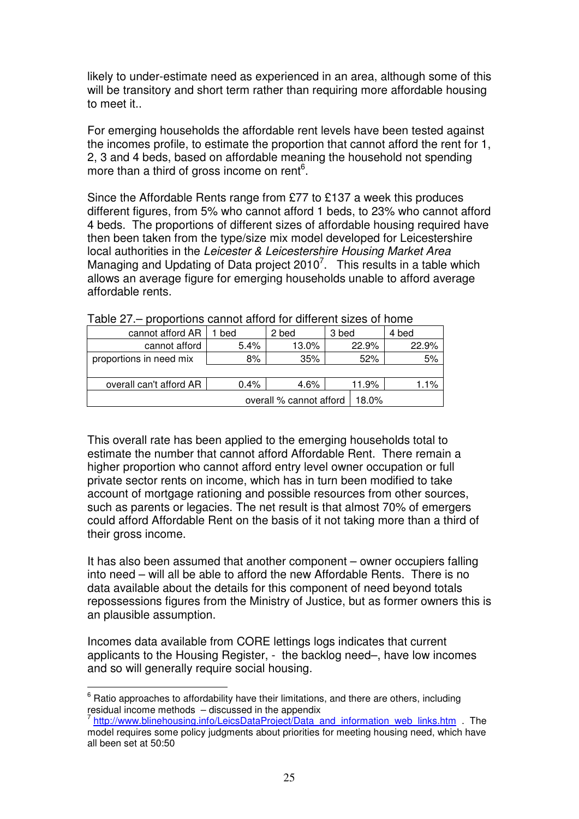likely to under-estimate need as experienced in an area, although some of this will be transitory and short term rather than requiring more affordable housing to meet it..

 For emerging households the affordable rent levels have been tested against the incomes profile, to estimate the proportion that cannot afford the rent for 1, 2, 3 and 4 beds, based on affordable meaning the household not spending more than a third of gross income on rent $6$ .

 Since the Affordable Rents range from £77 to £137 a week this produces different figures, from 5% who cannot afford 1 beds, to 23% who cannot afford 4 beds. The proportions of different sizes of affordable housing required have then been taken from the type/size mix model developed for Leicestershire local authorities in the Leicester & Leicestershire Housing Market Area Managing and Updating of Data project 2010<sup>7</sup>. This results in a table which allows an average figure for emerging households unable to afford average affordable rents.

| cannot afford AR        | bed                              | 2 bed | 3 bed | 4 bed |
|-------------------------|----------------------------------|-------|-------|-------|
| cannot afford           | 5.4%                             | 13.0% | 22.9% | 22.9% |
| proportions in need mix | 8%                               | 35%   | 52%   | 5%    |
|                         |                                  |       |       |       |
| overall can't afford AR | $0.4\%$                          | 4.6%  | 11.9% | 1.1%  |
|                         | overall % cannot afford<br>18.0% |       |       |       |

|  | Table 27 .- proportions cannot afford for different sizes of home |  |  |  |
|--|-------------------------------------------------------------------|--|--|--|
|--|-------------------------------------------------------------------|--|--|--|

 This overall rate has been applied to the emerging households total to estimate the number that cannot afford Affordable Rent. There remain a higher proportion who cannot afford entry level owner occupation or full private sector rents on income, which has in turn been modified to take account of mortgage rationing and possible resources from other sources, such as parents or legacies. The net result is that almost 70% of emergers could afford Affordable Rent on the basis of it not taking more than a third of their gross income.

 It has also been assumed that another component – owner occupiers falling into need – will all be able to afford the new Affordable Rents. There is no data available about the details for this component of need beyond totals repossessions figures from the Ministry of Justice, but as former owners this is an plausible assumption.

 Incomes data available from CORE lettings logs indicates that current applicants to the Housing Register, - the backlog need–, have low incomes and so will generally require social housing.

 $6$  Ratio approaches to affordability have their limitations, and there are others, including residual income methods – discussed in the appendix

<sup>&</sup>lt;sup>7</sup> [http://www.blinehousing.info/LeicsDataProject/Data\\_and\\_information\\_web\\_links.htm](http://www.blinehousing.info/LeicsDataProject/Data_and_information_web_links.htm) . The model requires some policy judgments about priorities for meeting housing need, which have all been set at 50:50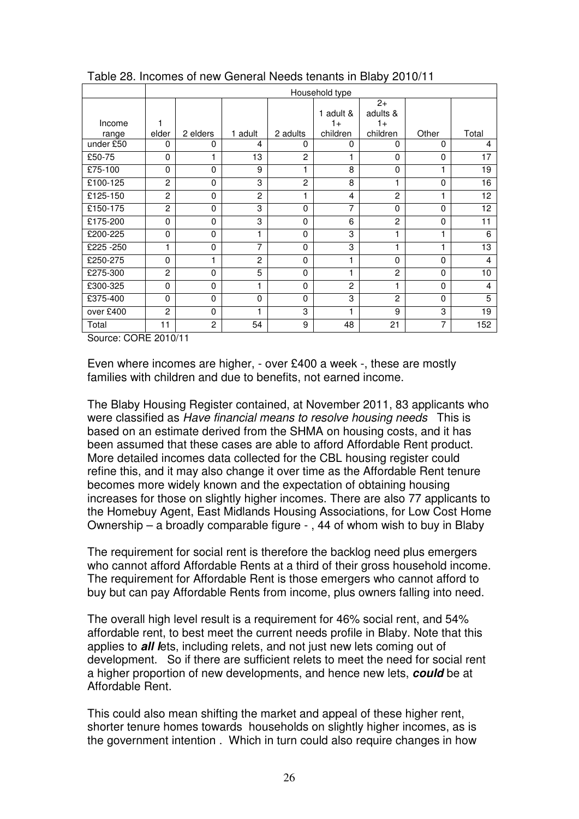|           | Household type |                |                |                |                   |                          |          |                |
|-----------|----------------|----------------|----------------|----------------|-------------------|--------------------------|----------|----------------|
| Income    | 1              |                |                |                | 1 adult &<br>$1+$ | $2+$<br>adults &<br>$1+$ |          |                |
| range     | elder          | 2 elders       | 1 adult        | 2 adults       | children          | children                 | Other    | Total          |
| under £50 | $\Omega$       | $\Omega$       | 4              | 0              | $\Omega$          | 0                        | $\Omega$ | 4              |
| £50-75    | $\mathbf 0$    | 1              | 13             | $\overline{c}$ | 1                 | $\Omega$                 | $\Omega$ | 17             |
| £75-100   | $\Omega$       | $\mathbf{0}$   | 9              | 1              | 8                 | 0                        |          | 19             |
| £100-125  | $\mathfrak{p}$ | $\Omega$       | 3              | $\overline{2}$ | 8                 | 1                        | $\Omega$ | 16             |
| £125-150  | $\overline{2}$ | $\mathbf{0}$   | $\overline{2}$ | 1              | 4                 | $\overline{2}$           |          | 12             |
| £150-175  | $\overline{2}$ | 0              | 3              | 0              | 7                 | 0                        | $\Omega$ | 12             |
| £175-200  | $\Omega$       | $\mathbf{0}$   | 3              | 0              | 6                 | $\overline{2}$           | $\Omega$ | 11             |
| £200-225  | 0              | $\mathbf{0}$   | 1              | 0              | 3                 | 1                        | 4        | 6              |
| £225-250  | 1              | $\mathbf{0}$   | 7              | 0              | 3                 | 1                        | 1        | 13             |
| £250-275  | $\mathbf{0}$   |                | $\overline{2}$ | 0              | 1                 | 0                        | $\Omega$ | $\overline{4}$ |
| £275-300  | $\mathfrak{p}$ | $\mathbf{0}$   | 5              | 0              | 1                 | $\overline{2}$           | $\Omega$ | 10             |
| £300-325  | $\Omega$       | $\mathbf{0}$   | 1              | 0              | $\overline{2}$    | 1                        | $\Omega$ | 4              |
| £375-400  | $\Omega$       | $\mathbf{0}$   | $\Omega$       | 0              | 3                 | $\overline{2}$           | $\Omega$ | 5              |
| over £400 | 2              | 0              | 1              | 3              | 1                 | 9                        | 3        | 19             |
| Total     | 11             | $\overline{2}$ | 54             | 9              | 48                | 21                       | 7        | 152            |

Table 28. Incomes of new General Needs tenants in Blaby 2010/11

Source: CORE 2010/11

 Even where incomes are higher, - over £400 a week -, these are mostly families with children and due to benefits, not earned income.

 The Blaby Housing Register contained, at November 2011, 83 applicants who were classified as Have financial means to resolve housing needs This is based on an estimate derived from the SHMA on housing costs, and it has been assumed that these cases are able to afford Affordable Rent product. More detailed incomes data collected for the CBL housing register could refine this, and it may also change it over time as the Affordable Rent tenure becomes more widely known and the expectation of obtaining housing increases for those on slightly higher incomes. There are also 77 applicants to the Homebuy Agent, East Midlands Housing Associations, for Low Cost Home Ownership – a broadly comparable figure - , 44 of whom wish to buy in Blaby

 The requirement for social rent is therefore the backlog need plus emergers who cannot afford Affordable Rents at a third of their gross household income. The requirement for Affordable Rent is those emergers who cannot afford to buy but can pay Affordable Rents from income, plus owners falling into need.

 The overall high level result is a requirement for 46% social rent, and 54% affordable rent, to best meet the current needs profile in Blaby. Note that this  applies to **all l**ets, including relets, and not just new lets coming out of development. So if there are sufficient relets to meet the need for social rent a higher proportion of new developments, and hence new lets, **could** be at Affordable Rent.

 This could also mean shifting the market and appeal of these higher rent, shorter tenure homes towards households on slightly higher incomes, as is the government intention . Which in turn could also require changes in how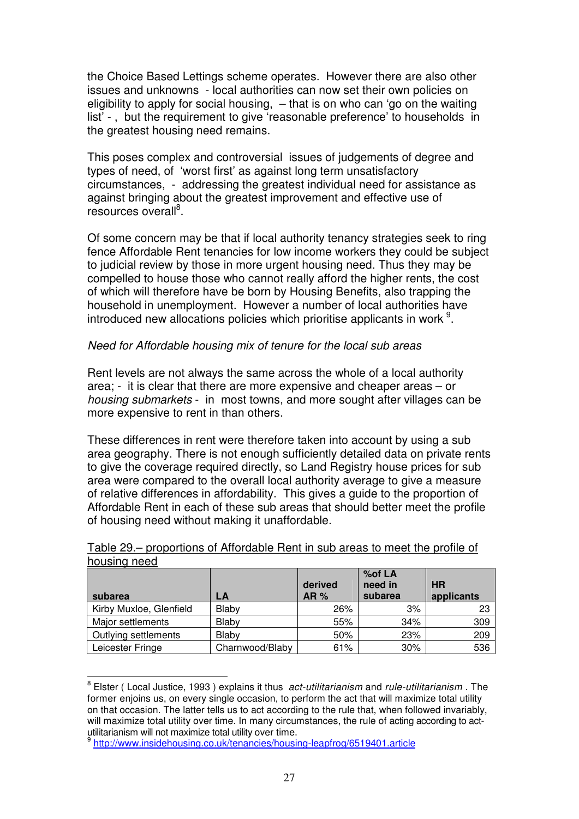the Choice Based Lettings scheme operates. However there are also other issues and unknowns - local authorities can now set their own policies on eligibility to apply for social housing, – that is on who can 'go on the waiting list' - , but the requirement to give 'reasonable preference' to households in the greatest housing need remains.

 This poses complex and controversial issues of judgements of degree and types of need, of 'worst first' as against long term unsatisfactory circumstances, - addressing the greatest individual need for assistance as against bringing about the greatest improvement and effective use of resources overall<sup>8</sup>.

resources overall<sup>s</sup>.<br>Of some concern may be that if local authority tenancy strategies seek to ring fence Affordable Rent tenancies for low income workers they could be subject to judicial review by those in more urgent housing need. Thus they may be compelled to house those who cannot really afford the higher rents, the cost household in unemployment. However a number of local authorities have introduced new allocations policies which prioritise applicants in work  $9$ . of which will therefore have be born by Housing Benefits, also trapping the

## Need for Affordable housing mix of tenure for the local sub areas

 Rent levels are not always the same across the whole of a local authority area; - it is clear that there are more expensive and cheaper areas – or housing submarkets - in most towns, and more sought after villages can be more expensive to rent in than others.

 These differences in rent were therefore taken into account by using a sub area geography. There is not enough sufficiently detailed data on private rents to give the coverage required directly, so Land Registry house prices for sub area were compared to the overall local authority average to give a measure of relative differences in affordability. This gives a guide to the proportion of Affordable Rent in each of these sub areas that should better meet the profile of housing need without making it unaffordable.

| subarea                 | LA              | derived<br>AR% | %of LA<br>need in<br>subarea | <b>HR</b><br>applicants |
|-------------------------|-----------------|----------------|------------------------------|-------------------------|
| Kirby Muxloe, Glenfield | Blaby           | 26%            | 3%                           | 23                      |
| Major settlements       | Blaby           | 55%            | 34%                          | 309                     |
| Outlying settlements    | Blaby           | 50%            | 23%                          | 209                     |
| Leicester Fringe        | Charnwood/Blaby | 61%            | 30%                          | 536                     |

 Table 29.– proportions of Affordable Rent in sub areas to meet the profile of housing need

 $^8$  Elster ( Local Justice, 1993 ) explains it thus *act-utilitarianism* and *rule-utilitarianism*. The former enjoins us, on every single occasion, to perform the act that will maximize total utility on that occasion. The latter tells us to act according to the rule that, when followed invariably, will maximize total utility over time. In many circumstances, the rule of acting according to act-utilitarianism will not maximize total utility over time.

<sup>9</sup> <http://www.insidehousing.co.uk/tenancies/housing-leapfrog/6519401.article>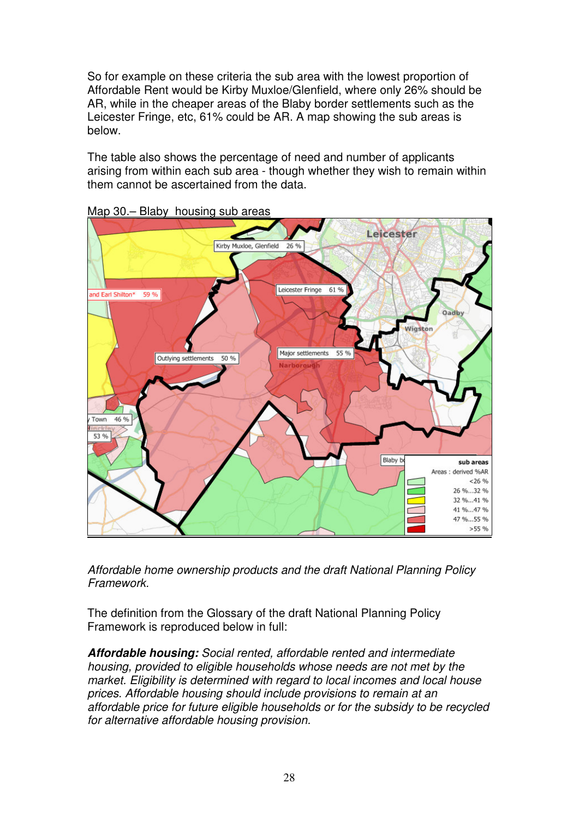So for example on these criteria the sub area with the lowest proportion of Affordable Rent would be Kirby Muxloe/Glenfield, where only 26% should be AR, while in the cheaper areas of the Blaby border settlements such as the Leicester Fringe, etc, 61% could be AR. A map showing the sub areas is below.

below.<br>The table also shows the percentage of need and number of applicants arising from within each sub area - though whether they wish to remain within them cannot be ascertained from the data.



Map 30.– Blaby housing sub areas

 Affordable home ownership products and the draft National Planning Policy Framework.

 The definition from the Glossary of the draft National Planning Policy Framework is reproduced below in full:

 **Affordable housing:** Social rented, affordable rented and intermediate housing, provided to eligible households whose needs are not met by the market. Eligibility is determined with regard to local incomes and local house prices. Affordable housing should include provisions to remain at an affordable price for future eligible households or for the subsidy to be recycled for alternative affordable housing provision.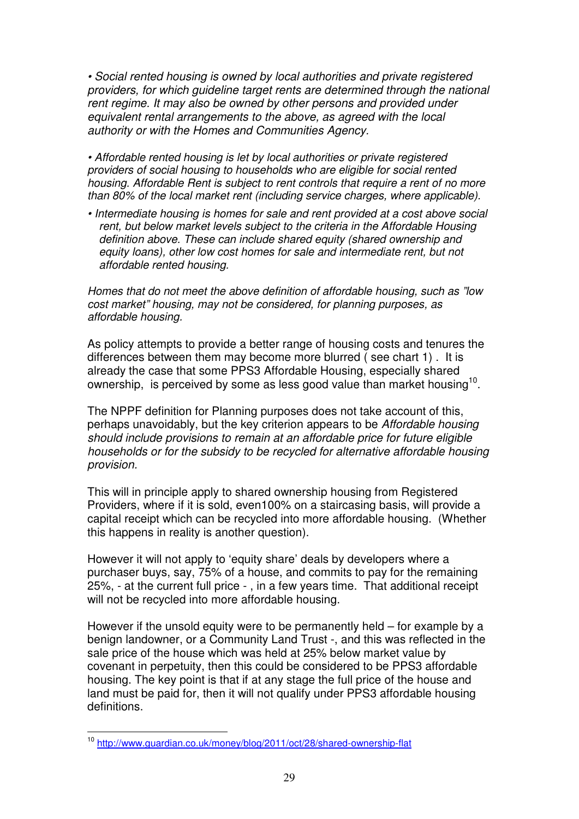• Social rented housing is owned by local authorities and private registered providers, for which guideline target rents are determined through the national rent regime. It may also be owned by other persons and provided under equivalent rental arrangements to the above, as agreed with the local authority or with the Homes and Communities Agency.

 • Affordable rented housing is let by local authorities or private registered providers of social housing to households who are eligible for social rented housing. Affordable Rent is subject to rent controls that require a rent of no more than 80% of the local market rent (including service charges, where applicable).

 • Intermediate housing is homes for sale and rent provided at a cost above social rent, but below market levels subject to the criteria in the Affordable Housing definition above. These can include shared equity (shared ownership and equity loans), other low cost homes for sale and intermediate rent, but not affordable rented housing.

 Homes that do not meet the above definition of affordable housing, such as "low cost market" housing, may not be considered, for planning purposes, as affordable housing.

 As policy attempts to provide a better range of housing costs and tenures the differences between them may become more blurred ( see chart 1) . It is already the case that some PPS3 Affordable Housing, especially shared ownership, is perceived by some as less good value than market housing<sup>10</sup>.

 The NPPF definition for Planning purposes does not take account of this, perhaps unavoidably, but the key criterion appears to be Affordable housing should include provisions to remain at an affordable price for future eligible households or for the subsidy to be recycled for alternative affordable housing provision.

 This will in principle apply to shared ownership housing from Registered Providers, where if it is sold, even100% on a staircasing basis, will provide a capital receipt which can be recycled into more affordable housing. (Whether this happens in reality is another question).

 However it will not apply to 'equity share' deals by developers where a purchaser buys, say, 75% of a house, and commits to pay for the remaining 25%, - at the current full price - , in a few years time. That additional receipt will not be recycled into more affordable housing.

 However if the unsold equity were to be permanently held – for example by a benign landowner, or a Community Land Trust -, and this was reflected in the sale price of the house which was held at 25% below market value by covenant in perpetuity, then this could be considered to be PPS3 affordable housing. The key point is that if at any stage the full price of the house and land must be paid for, then it will not qualify under PPS3 affordable housing definitions.

<sup>&</sup>lt;sup>10</sup> <http://www.guardian.co.uk/money/blog/2011/oct/28/shared-ownership-flat>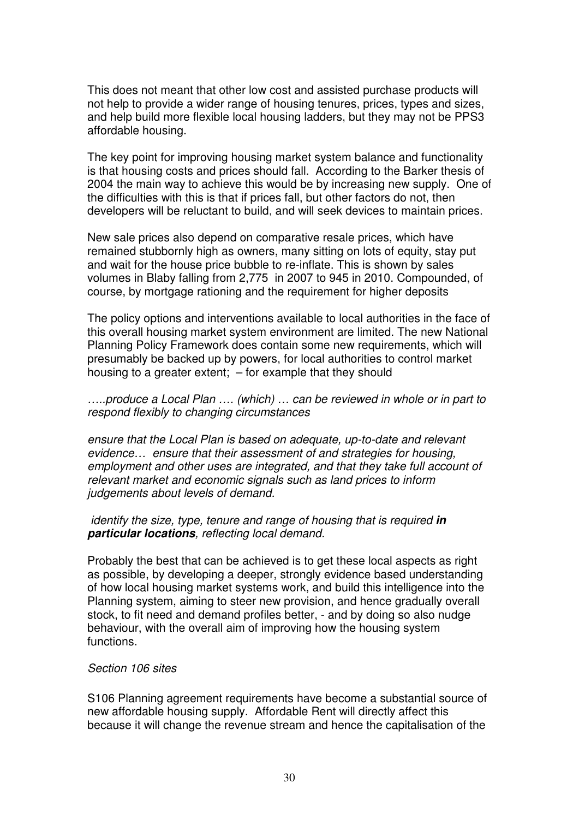This does not meant that other low cost and assisted purchase products will not help to provide a wider range of housing tenures, prices, types and sizes, and help build more flexible local housing ladders, but they may not be PPS3 affordable housing.

 The key point for improving housing market system balance and functionality is that housing costs and prices should fall. According to the Barker thesis of 2004 the main way to achieve this would be by increasing new supply. One of the difficulties with this is that if prices fall, but other factors do not, then developers will be reluctant to build, and will seek devices to maintain prices.

 New sale prices also depend on comparative resale prices, which have remained stubbornly high as owners, many sitting on lots of equity, stay put and wait for the house price bubble to re-inflate. This is shown by sales volumes in Blaby falling from 2,775 in 2007 to 945 in 2010. Compounded, of course, by mortgage rationing and the requirement for higher deposits

 The policy options and interventions available to local authorities in the face of this overall housing market system environment are limited. The new National Planning Policy Framework does contain some new requirements, which will presumably be backed up by powers, for local authorities to control market housing to a greater extent; – for example that they should

 …..produce a Local Plan …. (which) … can be reviewed in whole or in part to respond flexibly to changing circumstances

 ensure that the Local Plan is based on adequate, up-to-date and relevant evidence… ensure that their assessment of and strategies for housing, employment and other uses are integrated, and that they take full account of relevant market and economic signals such as land prices to inform judgements about levels of demand.

## identify the size, type, tenure and range of housing that is required **in particular locations**, reflecting local demand.

 Probably the best that can be achieved is to get these local aspects as right as possible, by developing a deeper, strongly evidence based understanding of how local housing market systems work, and build this intelligence into the Planning system, aiming to steer new provision, and hence gradually overall stock, to fit need and demand profiles better, - and by doing so also nudge behaviour, with the overall aim of improving how the housing system functions.

## Section 106 sites

 S106 Planning agreement requirements have become a substantial source of new affordable housing supply. Affordable Rent will directly affect this because it will change the revenue stream and hence the capitalisation of the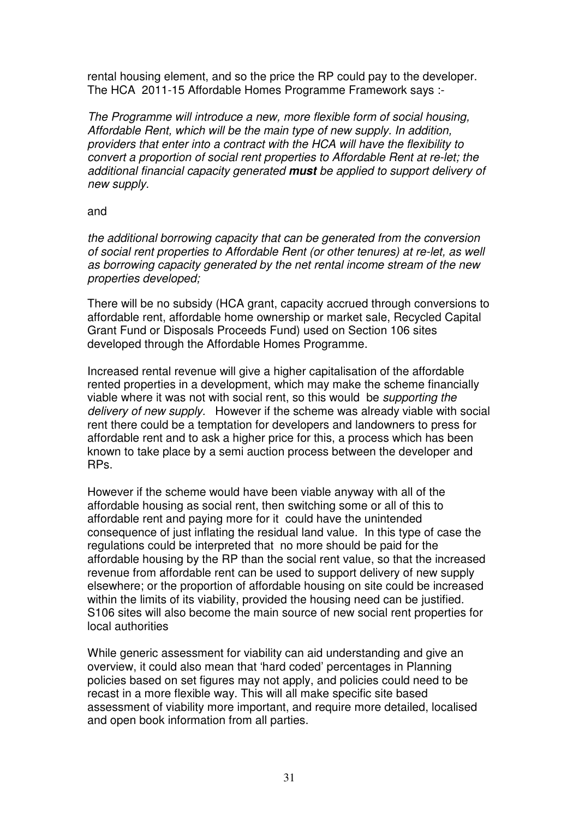rental housing element, and so the price the RP could pay to the developer. The HCA 2011-15 Affordable Homes Programme Framework says :-

 The Programme will introduce a new, more flexible form of social housing, Affordable Rent, which will be the main type of new supply. In addition, providers that enter into a contract with the HCA will have the flexibility to convert a proportion of social rent properties to Affordable Rent at re-let; the additional financial capacity generated **must** be applied to support delivery of new supply.

## and

 the additional borrowing capacity that can be generated from the conversion of social rent properties to Affordable Rent (or other tenures) at re-let, as well as borrowing capacity generated by the net rental income stream of the new properties developed;

 There will be no subsidy (HCA grant, capacity accrued through conversions to affordable rent, affordable home ownership or market sale, Recycled Capital Grant Fund or Disposals Proceeds Fund) used on Section 106 sites developed through the Affordable Homes Programme.

 Increased rental revenue will give a higher capitalisation of the affordable rented properties in a development, which may make the scheme financially viable where it was not with social rent, so this would be supporting the delivery of new supply. However if the scheme was already viable with social rent there could be a temptation for developers and landowners to press for affordable rent and to ask a higher price for this, a process which has been known to take place by a semi auction process between the developer and RP<sub>S</sub>

RPs.<br>However if the scheme would have been viable anyway with all of the affordable housing as social rent, then switching some or all of this to consequence of just inflating the residual land value. In this type of case the regulations could be interpreted that no more should be paid for the affordable housing by the RP than the social rent value, so that the increased revenue from affordable rent can be used to support delivery of new supply elsewhere; or the proportion of affordable housing on site could be increased within the limits of its viability, provided the housing need can be justified. S106 sites will also become the main source of new social rent properties for affordable rent and paying more for it could have the unintended local authorities

 While generic assessment for viability can aid understanding and give an overview, it could also mean that 'hard coded' percentages in Planning policies based on set figures may not apply, and policies could need to be recast in a more flexible way. This will all make specific site based assessment of viability more important, and require more detailed, localised and open book information from all parties.